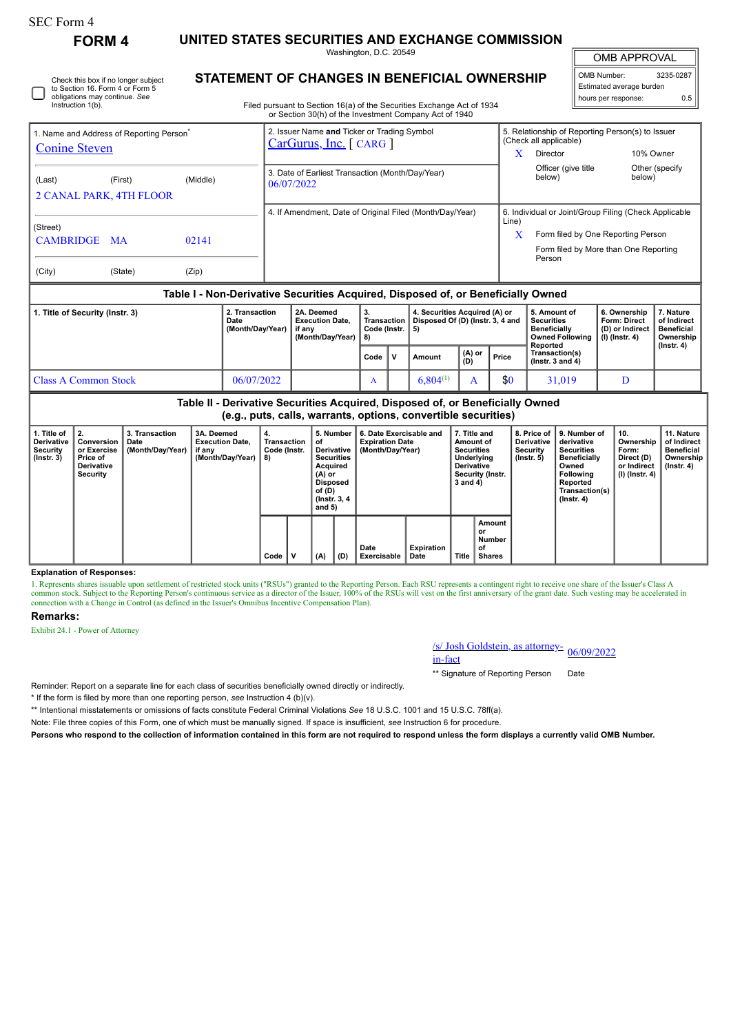| SEC Form 4 |
|------------|
|------------|

Instruction 1(b).

Check this box if no longer subject to Section 16. Form 4 or Form 5 obligations may continue. *See*

**FORM 4 UNITED STATES SECURITIES AND EXCHANGE COMMISSION**

Washington, D.C. 20549

OMB APPROVAL

 $\mathbb{I}$ 

| OMB Number:              | 3235-0287 |  |  |  |  |  |  |  |  |  |
|--------------------------|-----------|--|--|--|--|--|--|--|--|--|
| Estimated average burden |           |  |  |  |  |  |  |  |  |  |
| hours per response:      | 0.5       |  |  |  |  |  |  |  |  |  |

**STATEMENT OF CHANGES IN BENEFICIAL OWNERSHIP**

Filed pursuant to Section 16(a) of the Securities Exchange Act of 1934 or Section 30(h) of the Investment Company Act of 1940

| 1. Name and Address of Reporting Person <sup>®</sup>            |         |       |                | 2. Issuer Name and Ticker or Trading Symbol                    |    |                                                                                  | 5. Relationship of Reporting Person(s) to Issuer |                                                                             |                 |           |  |  |
|-----------------------------------------------------------------|---------|-------|----------------|----------------------------------------------------------------|----|----------------------------------------------------------------------------------|--------------------------------------------------|-----------------------------------------------------------------------------|-----------------|-----------|--|--|
| <b>Conine Steven</b>                                            |         |       |                | $CarGurus, Inc.$ [ CARG ]                                      |    | X                                                                                | (Check all applicable)<br>Director               | 10% Owner                                                                   |                 |           |  |  |
| (Middle)<br>(First)<br>(Last)<br><b>2 CANAL PARK, 4TH FLOOR</b> |         |       |                | 3. Date of Earliest Transaction (Month/Day/Year)<br>06/07/2022 |    |                                                                                  | Officer (give title)<br>below)                   | below)                                                                      | Other (specify) |           |  |  |
|                                                                 |         |       |                |                                                                |    | 4. If Amendment, Date of Original Filed (Month/Day/Year)                         |                                                  | 6. Individual or Joint/Group Filing (Check Applicable                       |                 |           |  |  |
| (Street)<br>CAMBRIDGE MA                                        |         | 02141 |                |                                                                |    |                                                                                  | Line)<br>X                                       | Form filed by One Reporting Person<br>Form filed by More than One Reporting |                 |           |  |  |
| (City)                                                          | (State) | (Zip) |                |                                                                |    |                                                                                  |                                                  | Person                                                                      |                 |           |  |  |
|                                                                 |         |       |                |                                                                |    | Table I - Non-Derivative Securities Acquired, Disposed of, or Beneficially Owned |                                                  |                                                                             |                 |           |  |  |
| 1. Title of Security (Instr. 3)                                 |         |       | 2. Transaction | 2A. Deemed                                                     | 3. | 4. Securities Acquired (A) or                                                    |                                                  | 5. Amount of                                                                | 6. Ownership    | 7. Nature |  |  |

| .                    | Date<br>(Month/Dav/Year) | <b>Execution Date.</b><br>if anv<br>(Month/Dav/Year) | Code (Instr. 15)<br>  8) |                         | Transaction   Disposed Of (D) (Instr. 3, 4 and |               |       | l Securities<br><b>Beneficially</b><br>Owned Following   (I) (Instr. 4)<br>Reported | Form: Direct<br>∣ (D) or Indirect | of Indirect<br><b>Beneficial</b><br>Ownership<br>$($ lnstr. 4 $)$ |
|----------------------|--------------------------|------------------------------------------------------|--------------------------|-------------------------|------------------------------------------------|---------------|-------|-------------------------------------------------------------------------------------|-----------------------------------|-------------------------------------------------------------------|
|                      |                          |                                                      | Code                     | $\mathsf{I} \mathsf{v}$ | Amount                                         | (A) or<br>(D) | Price | Transaction(s)<br>( $lnstr.$ 3 and 4)                                               |                                   |                                                                   |
| Class A Common Stock | 06/07/2022               |                                                      | A                        |                         | $6,804^{(1)}$                                  |               | \$0   | 31,019                                                                              |                                   |                                                                   |

**Table II - Derivative Securities Acquired, Disposed of, or Beneficially Owned (e.g., puts, calls, warrants, options, convertible securities)**

| 1. Title of<br><b>Derivative</b> | $\mathbf{12}$<br>Conversion                              | 3. Transaction<br>Date | 3A. Deemed<br><b>Execution Date,</b> | 4.<br>Transaction  | оf                                              | 5. Number                       | 6. Date Exercisable and<br><b>Expiration Date</b><br><b>Securities</b> |                   |          | 7. Title and<br><b>Derivative</b><br>Amount of      |                              | 8. Price of 19. Number of<br>derivative                               | 10.<br>Ownership                                     | 11. Nature<br>of Indirect                    |
|----------------------------------|----------------------------------------------------------|------------------------|--------------------------------------|--------------------|-------------------------------------------------|---------------------------------|------------------------------------------------------------------------|-------------------|----------|-----------------------------------------------------|------------------------------|-----------------------------------------------------------------------|------------------------------------------------------|----------------------------------------------|
| Security<br>$($ lnstr. 3 $)$     | or Exercise<br>Price of<br><b>Derivative</b><br>Security | (Month/Day/Year)       | if any<br>(Month/Day/Year)           | Code (Instr.<br>8) | Acquired<br>$(A)$ or                            | Derivative<br><b>Securities</b> | (Month/Day/Year)                                                       |                   |          | Underlying<br><b>Derivative</b><br>Security (Instr. | Security<br>$($ lnstr. 5 $)$ | <b>Securities</b><br><b>Beneficially</b><br>Owned<br><b>Following</b> | Form:<br>Direct (D)<br>or Indirect<br>(I) (Instr. 4) | <b>Beneficial</b><br>Ownership<br>(Instr. 4) |
|                                  |                                                          |                        |                                      |                    | Disposed<br>of (D)<br>(Instr. 3, 4)<br>and $5)$ |                                 |                                                                        |                   | 3 and 4) |                                                     |                              | Reported<br>Transaction(s)<br>$($ lnstr. 4 $)$                        |                                                      |                                              |
|                                  |                                                          |                        |                                      |                    |                                                 |                                 | Date                                                                   | <b>Expiration</b> |          | Amount<br>. or<br>Number<br>of                      |                              |                                                                       |                                                      |                                              |
|                                  |                                                          |                        |                                      | Code               | (A)                                             | (D)                             | Exercisable                                                            | Date              | Title    | <b>Shares</b>                                       |                              |                                                                       |                                                      |                                              |

**Explanation of Responses:**

1. Represents shares issuable upon settlement of restricted stock units ("RSUs") granted to the Reporting Person. Each RSU represents a contingent right to receive one share of the Issuer's Class A common stock. Subject to connection with a Change in Control (as defined in the Issuer's Omnibus Incentive Compensation Plan).

## **Remarks:**

Exhibit 24.1 - Power of Attorney

## /s/ Josh Goldstein, as attorney-<br>in-fact

\*\* Signature of Reporting Person Date

Reminder: Report on a separate line for each class of securities beneficially owned directly or indirectly.

\* If the form is filed by more than one reporting person, *see* Instruction 4 (b)(v).

\*\* Intentional misstatements or omissions of facts constitute Federal Criminal Violations *See* 18 U.S.C. 1001 and 15 U.S.C. 78ff(a).

Note: File three copies of this Form, one of which must be manually signed. If space is insufficient, *see* Instruction 6 for procedure.

**Persons who respond to the collection of information contained in this form are not required to respond unless the form displays a currently valid OMB Number.**